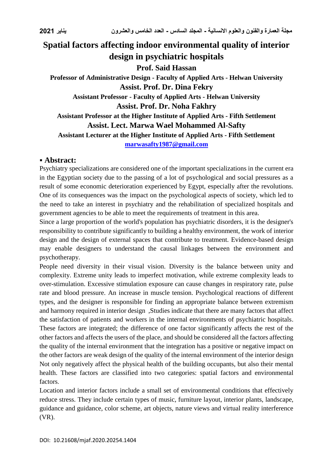## **Spatial factors affecting indoor environmental quality of interior design in psychiatric hospitals Prof. Said Hassan Professor of Administrative Design - Faculty of Applied Arts - Helwan University Assist. Prof. Dr. Dina Fekry Assistant Professor - Faculty of Applied Arts - Helwan University Assist. Prof. Dr. Noha Fakhry Assistant Professor at the Higher Institute of Applied Arts - Fifth Settlement Assist. Lect. Marwa Wael Mohammed Al-Safty Assistant Lecturer at the Higher Institute of Applied Arts - Fifth Settlement [marwasafty1987@gmail.com](mailto:marwasafty1987@gmail.com)**

## **Abstract:**

Psychiatry specializations are considered one of the important specializations in the current era in the Egyptian society due to the passing of a lot of psychological and social pressures as a result of some economic deterioration experienced by Egypt, especially after the revolutions. One of its consequences was the impact on the psychological aspects of society, which led to the need to take an interest in psychiatry and the rehabilitation of specialized hospitals and government agencies to be able to meet the requirements of treatment in this area.

Since a large proportion of the world's population has psychiatric disorders, it is the designer's responsibility to contribute significantly to building a healthy environment, the work of interior design and the design of external spaces that contribute to treatment. Evidence-based design may enable designers to understand the causal linkages between the environment and psychotherapy.

People need diversity in their visual vision. Diversity is the balance between unity and complexity. Extreme unity leads to imperfect motivation, while extreme complexity leads to over-stimulation. Excessive stimulation exposure can cause changes in respiratory rate, pulse rate and blood pressure. An increase in muscle tension. Psychological reactions of different types, and the designer is responsible for finding an appropriate balance between extremism and harmony required in interior design ,Studies indicate that there are many factors that affect the satisfaction of patients and workers in the internal environments of psychiatric hospitals. These factors are integrated; the difference of one factor significantly affects the rest of the other factors and affects the users of the place, and should be considered all the factors affecting the quality of the internal environment that the integration has a positive or negative impact on the other factors are weak design of the quality of the internal environment of the interior design Not only negatively affect the physical health of the building occupants, but also their mental health. These factors are classified into two categories: spatial factors and environmental factors.

Location and interior factors include a small set of environmental conditions that effectively reduce stress. They include certain types of music, furniture layout, interior plants, landscape, guidance and guidance, color scheme, art objects, nature views and virtual reality interference (VR).